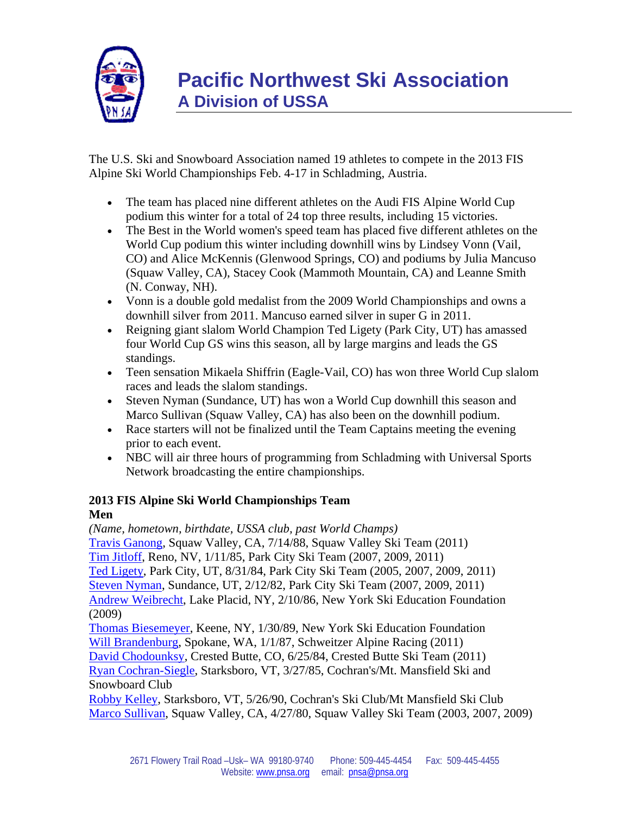

The U.S. Ski and Snowboard Association named 19 athletes to compete in the 2013 FIS Alpine Ski World Championships Feb. 4-17 in Schladming, Austria.

- The team has placed nine different athletes on the Audi FIS Alpine World Cup podium this winter for a total of 24 top three results, including 15 victories.
- The Best in the World women's speed team has placed five different athletes on the World Cup podium this winter including downhill wins by Lindsey Vonn (Vail, CO) and Alice McKennis (Glenwood Springs, CO) and podiums by Julia Mancuso (Squaw Valley, CA), Stacey Cook (Mammoth Mountain, CA) and Leanne Smith (N. Conway, NH).
- Vonn is a double gold medalist from the 2009 World Championships and owns a downhill silver from 2011. Mancuso earned silver in super G in 2011.
- Reigning giant slalom World Champion Ted Ligety (Park City, UT) has amassed four World Cup GS wins this season, all by large margins and leads the GS standings.
- Teen sensation Mikaela Shiffrin (Eagle-Vail, CO) has won three World Cup slalom races and leads the slalom standings.
- Steven Nyman (Sundance, UT) has won a World Cup downhill this season and Marco Sullivan (Squaw Valley, CA) has also been on the downhill podium.
- Race starters will not be finalized until the Team Captains meeting the evening prior to each event.
- NBC will air three hours of programming from Schladming with Universal Sports Network broadcasting the entire championships.

# **2013 FIS Alpine Ski World Championships Team**

# **Men**

*(Name, hometown, birthdate, USSA club, past World Champs)* [Travis Ganong](http://fanmail.ussa.org/ct/6749020:2584607477:m:1:76633188:A7819EADD3342F279A7C65FC98066379:r), Squaw Valley, CA, 7/14/88, Squaw Valley Ski Team (2011) [Tim Jitloff](http://fanmail.ussa.org/ct/6749021:2584607477:m:1:76633188:A7819EADD3342F279A7C65FC98066379:r), Reno, NV, 1/11/85, Park City Ski Team (2007, 2009, 2011) [Ted Ligety](http://fanmail.ussa.org/ct/6749022:2584607477:m:1:76633188:A7819EADD3342F279A7C65FC98066379:r), Park City, UT, 8/31/84, Park City Ski Team (2005, 2007, 2009, 2011) [Steven Nyman](http://fanmail.ussa.org/ct/6749023:2584607477:m:1:76633188:A7819EADD3342F279A7C65FC98066379:r), Sundance, UT, 2/12/82, Park City Ski Team (2007, 2009, 2011) [Andrew Weibrecht](http://fanmail.ussa.org/ct/6749024:2584607477:m:1:76633188:A7819EADD3342F279A7C65FC98066379:r), Lake Placid, NY, 2/10/86, New York Ski Education Foundation (2009) [Thomas Biesemeyer,](http://fanmail.ussa.org/ct/6749025:2584607477:m:1:76633188:A7819EADD3342F279A7C65FC98066379:r) Keene, NY, 1/30/89, New York Ski Education Foundation [Will Brandenburg](http://fanmail.ussa.org/ct/6749026:2584607477:m:1:76633188:A7819EADD3342F279A7C65FC98066379:r), Spokane, WA, 1/1/87, Schweitzer Alpine Racing (2011)

[David Chodounksy](http://fanmail.ussa.org/ct/6749027:2584607477:m:1:76633188:A7819EADD3342F279A7C65FC98066379:r), Crested Butte, CO, 6/25/84, Crested Butte Ski Team (2011) [Ryan Cochran-Siegle](http://fanmail.ussa.org/ct/6749028:2584607477:m:1:76633188:A7819EADD3342F279A7C65FC98066379:r), Starksboro, VT, 3/27/85, Cochran's/Mt. Mansfield Ski and Snowboard Club

[Robby Kelley](http://fanmail.ussa.org/ct/6749029:2584607477:m:1:76633188:A7819EADD3342F279A7C65FC98066379:r), Starksboro, VT, 5/26/90, Cochran's Ski Club/Mt Mansfield Ski Club [Marco Sullivan,](http://fanmail.ussa.org/ct/6749030:2584607477:m:1:76633188:A7819EADD3342F279A7C65FC98066379:r) Squaw Valley, CA, 4/27/80, Squaw Valley Ski Team (2003, 2007, 2009)